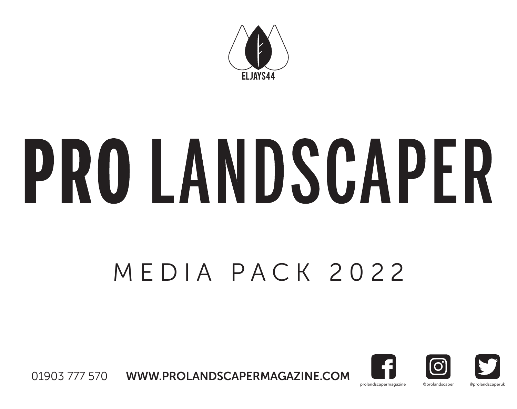

# PRO LANDSCAPER

# MEDIA PACK 2022



01903 777 570 WWW.PROLANDSCAPERMAGAZINE.COM

prolandscapermagazine @prolandscaper @prolandscaperuk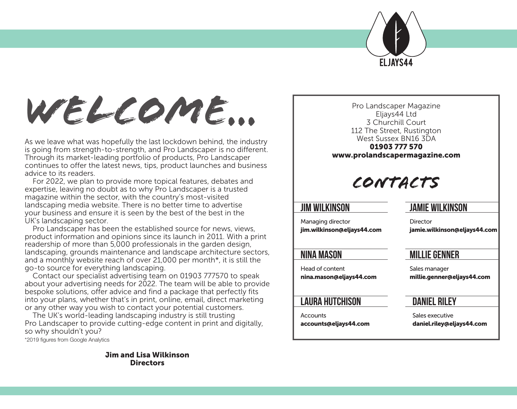

*Welcome...*

As we leave what was hopefully the last lockdown behind, the industry is going from strength-to-strength, and Pro Landscaper is no different. Through its market-leading portfolio of products, Pro Landscaper continues to offer the latest news, tips, product launches and business advice to its readers.

For 2022, we plan to provide more topical features, debates and expertise, leaving no doubt as to why Pro Landscaper is a trusted magazine within the sector, with the country's most-visited landscaping media website. There is no better time to advertise your business and ensure it is seen by the best of the best in the UK's landscaping sector.

Pro Landscaper has been the established source for news, views, product information and opinions since its launch in 2011. With a print readership of more than 5,000 professionals in the garden design, landscaping, grounds maintenance and landscape architecture sectors, and a monthly website reach of over 21,000 per month\*, it is still the go-to source for everything landscaping.

Contact our specialist advertising team on 01903 777570 to speak about your advertising needs for 2022. The team will be able to provide bespoke solutions, offer advice and find a package that perfectly fits into your plans, whether that's in print, online, email, direct marketing or any other way you wish to contact your potential customers.

The UK's world-leading landscaping industry is still trusting Pro Landscaper to provide cutting-edge content in print and digitally, so why shouldn't you?

\*2019 figures from Google Analytics

Jim and Lisa Wilkinson **Directors** 

Pro Landscaper Magazine Eljays44 Ltd 3 Churchill Court 112 The Street, Rustington West Sussex BN16 3DA 01903 777 570 www.prolandscapermagazine.com

# *CONTACTS*

### **JIM WILKINSON**

#### Managing director jim.wilkinson@eljays44.com

**JAMIE WILKINSON**

**MILLIE GENNER**

**Director** 

## **NINA MASON**

Head of content nina.mason@eljays44.com

### **LAURA HUTCHISON**

**Accounts** accounts@eljays44.com Sales manager millie.genner@eljays44.com

jamie.wilkinson@eljays44.com

### **DANIEL RILEY**

Sales executive daniel.riley@eljays44.com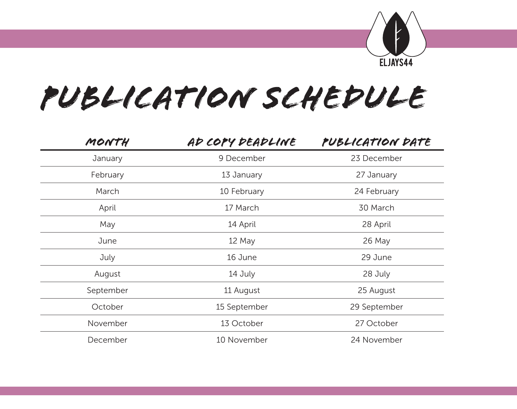

# *publication schedule*

| MONTH     | AD COPY DEADLINE | PUBLICATION DATE |
|-----------|------------------|------------------|
| January   | 9 December       | 23 December      |
| February  | 13 January       | 27 January       |
| March     | 10 February      | 24 February      |
| April     | 17 March         | 30 March         |
| May       | 14 April         | 28 April         |
| June      | 12 May           | 26 May           |
| July      | 16 June          | 29 June          |
| August    | 14 July          | 28 July          |
| September | 11 August        | 25 August        |
| October   | 15 September     | 29 September     |
| November  | 13 October       | 27 October       |
| December  | 10 November      | 24 November      |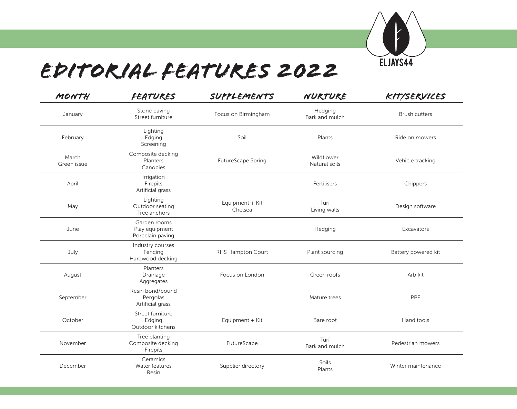

# *Editorial features 2022*

| MONTH                | <b>FEATURES</b>                                    | SUPPLEMENTS                | NURTURE                     | KIT/SERVICES         |
|----------------------|----------------------------------------------------|----------------------------|-----------------------------|----------------------|
| January              | Stone paving<br>Street furniture                   | Focus on Birmingham        | Hedging<br>Bark and mulch   | <b>Brush cutters</b> |
| February             | Lighting<br>Edging<br>Screening                    | Soil                       | Plants                      | Ride on mowers       |
| March<br>Green issue | Composite decking<br>Planters<br>Canopies          | FutureScape Spring         | Wildflower<br>Natural soils | Vehicle tracking     |
| April                | Irrigation<br>Firepits<br>Artificial grass         |                            | Fertilisers                 | Chippers             |
| May                  | Lighting<br>Outdoor seating<br>Tree anchors        | Equipment + Kit<br>Chelsea | Turf<br>Living walls        | Design software      |
| June                 | Garden rooms<br>Play equipment<br>Porcelain paving |                            | Hedging                     | Excavators           |
| July                 | Industry courses<br>Fencing<br>Hardwood decking    | RHS Hampton Court          | Plant sourcing              | Battery powered kit  |
| August               | Planters<br>Drainage<br>Aggregates                 | Focus on London            | Green roofs                 | Arb kit              |
| September            | Resin bond/bound<br>Pergolas<br>Artificial grass   |                            | Mature trees                | PPE                  |
| October              | Street furniture<br>Edging<br>Outdoor kitchens     | Equipment + Kit            | Bare root                   | Hand tools           |
| November             | Tree planting<br>Composite decking<br>Firepits     | FutureScape                | Turf<br>Bark and mulch      | Pedestrian mowers    |
| December             | Ceramics<br>Water features<br>Resin                | Supplier directory         | Soils<br>Plants             | Winter maintenance   |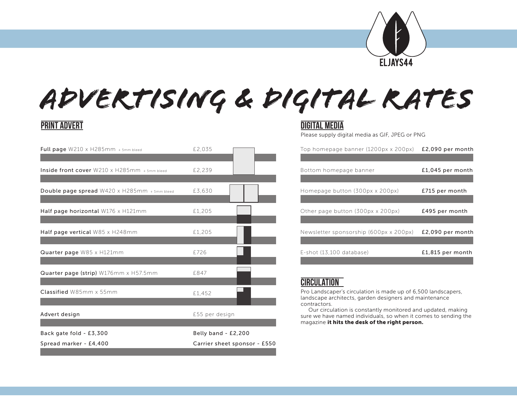

# *advertising & digital rates*

## **Print advert digital media**

| Spread marker - £4,400                               | Carrier sheet sponsor - £550 |                                                                                                                                                                                                                                                                                                                             |                  |
|------------------------------------------------------|------------------------------|-----------------------------------------------------------------------------------------------------------------------------------------------------------------------------------------------------------------------------------------------------------------------------------------------------------------------------|------------------|
| Back gate fold - £3,300                              | Belly band - £2,200          |                                                                                                                                                                                                                                                                                                                             |                  |
| Advert design                                        | £55 per design               | Pro Landscaper's circulation is made up of 6,500 landscapers,<br>landscape architects, garden designers and maintenance<br>contractors.<br>Our circulation is constantly monitored and updated, making<br>sure we have named individuals, so when it comes to sending the<br>magazine it hits the desk of the right person. |                  |
| Classified W85mm x 55mm                              | £1.452                       |                                                                                                                                                                                                                                                                                                                             |                  |
| Quarter page (strip) W176mm x H57.5mm                | £847                         | <b>CIRCULATION</b>                                                                                                                                                                                                                                                                                                          |                  |
| Quarter page W85 x H121mm                            | F726                         | E-shot (13,100 database)                                                                                                                                                                                                                                                                                                    | £1,815 per month |
| Half page vertical W85 x H248mm                      | £1,205                       | Newsletter sponsorship (600px x 200px)                                                                                                                                                                                                                                                                                      | £2,090 per month |
| Half page horizontal W176 x H121mm                   | £1,205                       | Other page button (300px x 200px)                                                                                                                                                                                                                                                                                           | £495 per month   |
| Double page spread W420 x H285mm + 5mm bleed         | £3.630                       | Homepage button (300px x 200px)                                                                                                                                                                                                                                                                                             | £715 per month   |
| Inside front cover $W210 \times H285$ mm + 5mm bleed | £2,239                       | Bottom homepage banner                                                                                                                                                                                                                                                                                                      | £1,045 per month |
| Full page $W210 \times H285$ mm + 5mm bleed          | £2.035                       | Top homepage banner (1200px x 200px)                                                                                                                                                                                                                                                                                        | £2,090 per month |

Please supply digital media as GIF, JPEG or PNG

| £2.035 | Top homepage banner (1200px x 200px)   | £2,090 per month   |
|--------|----------------------------------------|--------------------|
|        |                                        |                    |
| £2,239 | Bottom homepage banner                 | $£1,045$ per month |
|        |                                        |                    |
| £3,630 | Homepage button (300px x 200px)        | £715 per month     |
|        |                                        |                    |
| £1,205 | Other page button (300px x 200px)      | £495 per month     |
|        |                                        |                    |
| £1,205 | Newsletter sponsorship (600px x 200px) | £2,090 per month   |
|        |                                        |                    |
| £726   | E-shot (13,100 database)               | £1,815 per month   |
|        |                                        |                    |

## **circulation**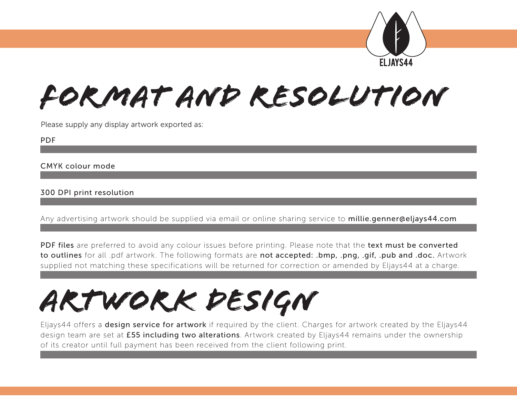

# *Format and resolution*

Please supply any display artwork exported as:

PDF

CMYK colour mode

### 300 DPI print resolution

Any advertising artwork should be supplied via email or online sharing service to millie.genner@eljays44.com

PDF files are preferred to avoid any colour issues before printing. Please note that the text must be converted to outlines for all .pdf artwork. The following formats are not accepted: .bmp, .png, .gif, .pub and .doc. Artwork supplied not matching these specifications will be returned for correction or amended by Eljays44 at a charge.

# *artwork design*

Eljays44 offers a **design service for artwork** if required by the client. Charges for artwork created by the Eljays44 design team are set at £55 including two alterations. Artwork created by Eljays44 remains under the ownership of its creator until full payment has been received from the client following print.